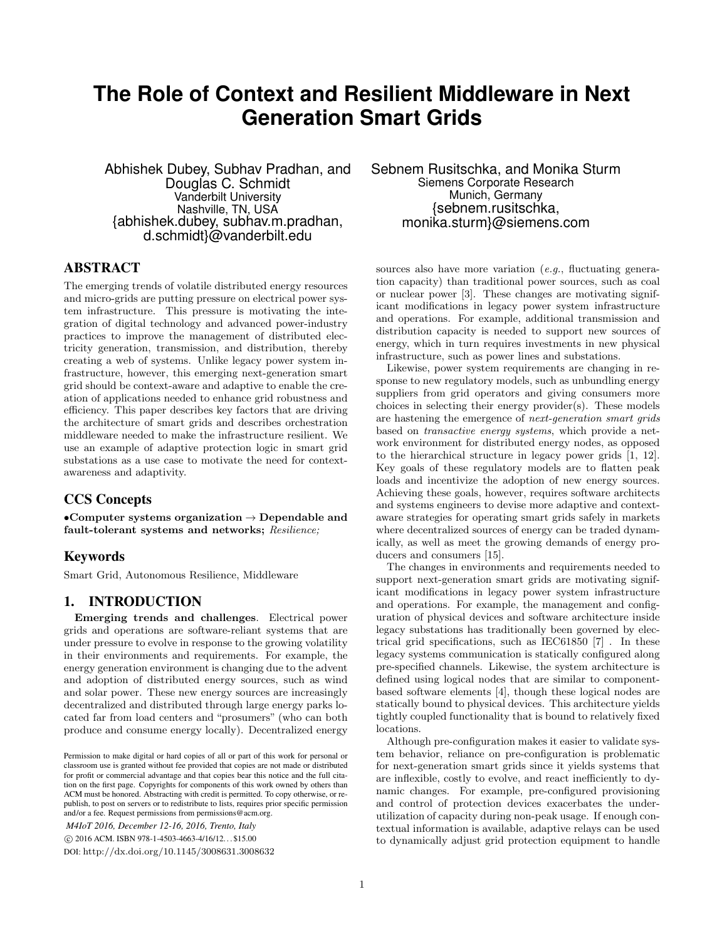# **The Role of Context and Resilient Middleware in Next Generation Smart Grids**

Abhishek Dubey, Subhav Pradhan, and Douglas C. Schmidt Vanderbilt University Nashville, TN, USA {abhishek.dubey, subhav.m.pradhan, d.schmidt}@vanderbilt.edu

## ABSTRACT

The emerging trends of volatile distributed energy resources and micro-grids are putting pressure on electrical power system infrastructure. This pressure is motivating the integration of digital technology and advanced power-industry practices to improve the management of distributed electricity generation, transmission, and distribution, thereby creating a web of systems. Unlike legacy power system infrastructure, however, this emerging next-generation smart grid should be context-aware and adaptive to enable the creation of applications needed to enhance grid robustness and efficiency. This paper describes key factors that are driving the architecture of smart grids and describes orchestration middleware needed to make the infrastructure resilient. We use an example of adaptive protection logic in smart grid substations as a use case to motivate the need for contextawareness and adaptivity.

## CCS Concepts

•Computer systems organization  $\rightarrow$  Dependable and fault-tolerant systems and networks; Resilience;

### Keywords

Smart Grid, Autonomous Resilience, Middleware

## 1. INTRODUCTION

Emerging trends and challenges. Electrical power grids and operations are software-reliant systems that are under pressure to evolve in response to the growing volatility in their environments and requirements. For example, the energy generation environment is changing due to the advent and adoption of distributed energy sources, such as wind and solar power. These new energy sources are increasingly decentralized and distributed through large energy parks located far from load centers and "prosumers" (who can both produce and consume energy locally). Decentralized energy

*M4IoT 2016, December 12-16, 2016, Trento, Italy*

c 2016 ACM. ISBN 978-1-4503-4663-4/16/12. . . \$15.00

DOI: http://dx.doi.org/10.1145/3008631.3008632

Sebnem Rusitschka, and Monika Sturm Siemens Corporate Research Munich, Germany {sebnem.rusitschka, monika.sturm}@siemens.com

sources also have more variation  $(e.g.,$  fluctuating generation capacity) than traditional power sources, such as coal or nuclear power [3]. These changes are motivating significant modifications in legacy power system infrastructure and operations. For example, additional transmission and distribution capacity is needed to support new sources of energy, which in turn requires investments in new physical infrastructure, such as power lines and substations.

Likewise, power system requirements are changing in response to new regulatory models, such as unbundling energy suppliers from grid operators and giving consumers more choices in selecting their energy provider(s). These models are hastening the emergence of next-generation smart grids based on transactive energy systems, which provide a network environment for distributed energy nodes, as opposed to the hierarchical structure in legacy power grids [1, 12]. Key goals of these regulatory models are to flatten peak loads and incentivize the adoption of new energy sources. Achieving these goals, however, requires software architects and systems engineers to devise more adaptive and contextaware strategies for operating smart grids safely in markets where decentralized sources of energy can be traded dynamically, as well as meet the growing demands of energy producers and consumers [15].

The changes in environments and requirements needed to support next-generation smart grids are motivating significant modifications in legacy power system infrastructure and operations. For example, the management and configuration of physical devices and software architecture inside legacy substations has traditionally been governed by electrical grid specifications, such as IEC61850 [7] . In these legacy systems communication is statically configured along pre-specified channels. Likewise, the system architecture is defined using logical nodes that are similar to componentbased software elements [4], though these logical nodes are statically bound to physical devices. This architecture yields tightly coupled functionality that is bound to relatively fixed locations.

Although pre-configuration makes it easier to validate system behavior, reliance on pre-configuration is problematic for next-generation smart grids since it yields systems that are inflexible, costly to evolve, and react inefficiently to dynamic changes. For example, pre-configured provisioning and control of protection devices exacerbates the underutilization of capacity during non-peak usage. If enough contextual information is available, adaptive relays can be used to dynamically adjust grid protection equipment to handle

Permission to make digital or hard copies of all or part of this work for personal or classroom use is granted without fee provided that copies are not made or distributed for profit or commercial advantage and that copies bear this notice and the full citation on the first page. Copyrights for components of this work owned by others than ACM must be honored. Abstracting with credit is permitted. To copy otherwise, or republish, to post on servers or to redistribute to lists, requires prior specific permission and/or a fee. Request permissions from permissions@acm.org.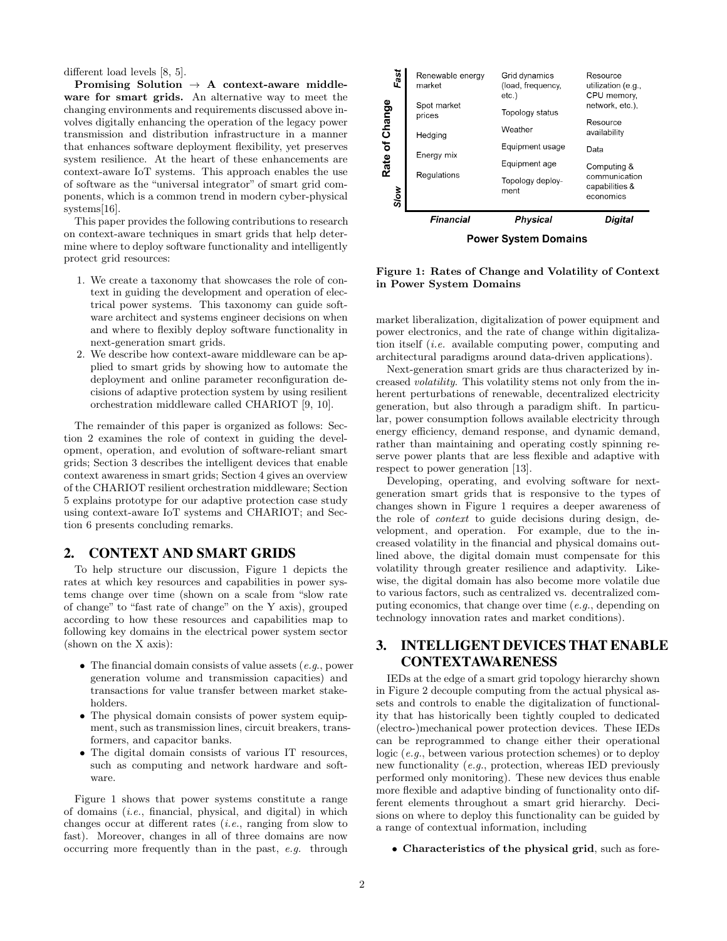different load levels [8, 5].

Promising Solution  $\rightarrow$  A context-aware middleware for smart grids. An alternative way to meet the changing environments and requirements discussed above involves digitally enhancing the operation of the legacy power transmission and distribution infrastructure in a manner that enhances software deployment flexibility, yet preserves system resilience. At the heart of these enhancements are context-aware IoT systems. This approach enables the use of software as the "universal integrator" of smart grid components, which is a common trend in modern cyber-physical systems[16].

This paper provides the following contributions to research on context-aware techniques in smart grids that help determine where to deploy software functionality and intelligently protect grid resources:

- 1. We create a taxonomy that showcases the role of context in guiding the development and operation of electrical power systems. This taxonomy can guide software architect and systems engineer decisions on when and where to flexibly deploy software functionality in next-generation smart grids.
- 2. We describe how context-aware middleware can be applied to smart grids by showing how to automate the deployment and online parameter reconfiguration decisions of adaptive protection system by using resilient orchestration middleware called CHARIOT [9, 10].

The remainder of this paper is organized as follows: Section 2 examines the role of context in guiding the development, operation, and evolution of software-reliant smart grids; Section 3 describes the intelligent devices that enable context awareness in smart grids; Section 4 gives an overview of the CHARIOT resilient orchestration middleware; Section 5 explains prototype for our adaptive protection case study using context-aware IoT systems and CHARIOT; and Section 6 presents concluding remarks.

#### 2. CONTEXT AND SMART GRIDS

To help structure our discussion, Figure 1 depicts the rates at which key resources and capabilities in power systems change over time (shown on a scale from "slow rate of change" to "fast rate of change" on the Y axis), grouped according to how these resources and capabilities map to following key domains in the electrical power system sector (shown on the X axis):

- The financial domain consists of value assets  $(e.g., power)$ generation volume and transmission capacities) and transactions for value transfer between market stakeholders.
- The physical domain consists of power system equipment, such as transmission lines, circuit breakers, transformers, and capacitor banks.
- The digital domain consists of various IT resources, such as computing and network hardware and software.

Figure 1 shows that power systems constitute a range of domains (i.e., financial, physical, and digital) in which changes occur at different rates (i.e., ranging from slow to fast). Moreover, changes in all of three domains are now occurring more frequently than in the past, e.g. through



**Power System Domains** 

Figure 1: Rates of Change and Volatility of Context in Power System Domains

market liberalization, digitalization of power equipment and power electronics, and the rate of change within digitalization itself (i.e. available computing power, computing and architectural paradigms around data-driven applications).

Next-generation smart grids are thus characterized by increased volatility. This volatility stems not only from the inherent perturbations of renewable, decentralized electricity generation, but also through a paradigm shift. In particular, power consumption follows available electricity through energy efficiency, demand response, and dynamic demand, rather than maintaining and operating costly spinning reserve power plants that are less flexible and adaptive with respect to power generation [13].

Developing, operating, and evolving software for nextgeneration smart grids that is responsive to the types of changes shown in Figure 1 requires a deeper awareness of the role of context to guide decisions during design, development, and operation. For example, due to the increased volatility in the financial and physical domains outlined above, the digital domain must compensate for this volatility through greater resilience and adaptivity. Likewise, the digital domain has also become more volatile due to various factors, such as centralized vs. decentralized computing economics, that change over time (e.g., depending on technology innovation rates and market conditions).

# 3. INTELLIGENT DEVICES THAT ENABLE CONTEXTAWARENESS

IEDs at the edge of a smart grid topology hierarchy shown in Figure 2 decouple computing from the actual physical assets and controls to enable the digitalization of functionality that has historically been tightly coupled to dedicated (electro-)mechanical power protection devices. These IEDs can be reprogrammed to change either their operational logic (e.g., between various protection schemes) or to deploy new functionality (e.g., protection, whereas IED previously performed only monitoring). These new devices thus enable more flexible and adaptive binding of functionality onto different elements throughout a smart grid hierarchy. Decisions on where to deploy this functionality can be guided by a range of contextual information, including

• Characteristics of the physical grid, such as fore-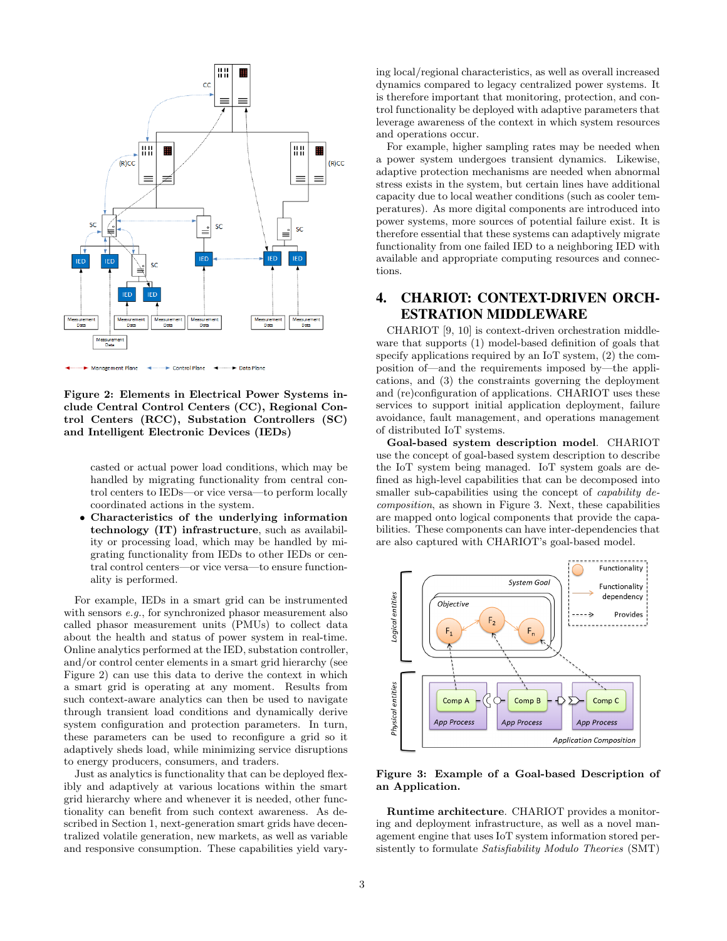

Figure 2: Elements in Electrical Power Systems include Central Control Centers (CC), Regional Control Centers (RCC), Substation Controllers (SC) and Intelligent Electronic Devices (IEDs)

casted or actual power load conditions, which may be handled by migrating functionality from central control centers to IEDs—or vice versa—to perform locally coordinated actions in the system.

• Characteristics of the underlying information technology (IT) infrastructure, such as availability or processing load, which may be handled by migrating functionality from IEDs to other IEDs or central control centers—or vice versa—to ensure functionality is performed.

For example, IEDs in a smart grid can be instrumented with sensors e.g., for synchronized phasor measurement also called phasor measurement units (PMUs) to collect data about the health and status of power system in real-time. Online analytics performed at the IED, substation controller, and/or control center elements in a smart grid hierarchy (see Figure 2) can use this data to derive the context in which a smart grid is operating at any moment. Results from such context-aware analytics can then be used to navigate through transient load conditions and dynamically derive system configuration and protection parameters. In turn, these parameters can be used to reconfigure a grid so it adaptively sheds load, while minimizing service disruptions to energy producers, consumers, and traders.

Just as analytics is functionality that can be deployed flexibly and adaptively at various locations within the smart grid hierarchy where and whenever it is needed, other functionality can benefit from such context awareness. As described in Section 1, next-generation smart grids have decentralized volatile generation, new markets, as well as variable and responsive consumption. These capabilities yield varying local/regional characteristics, as well as overall increased dynamics compared to legacy centralized power systems. It is therefore important that monitoring, protection, and control functionality be deployed with adaptive parameters that leverage awareness of the context in which system resources and operations occur.

For example, higher sampling rates may be needed when a power system undergoes transient dynamics. Likewise, adaptive protection mechanisms are needed when abnormal stress exists in the system, but certain lines have additional capacity due to local weather conditions (such as cooler temperatures). As more digital components are introduced into power systems, more sources of potential failure exist. It is therefore essential that these systems can adaptively migrate functionality from one failed IED to a neighboring IED with available and appropriate computing resources and connections.

# 4. CHARIOT: CONTEXT-DRIVEN ORCH-ESTRATION MIDDLEWARE

CHARIOT [9, 10] is context-driven orchestration middleware that supports (1) model-based definition of goals that specify applications required by an IoT system, (2) the composition of—and the requirements imposed by—the applications, and (3) the constraints governing the deployment and (re)configuration of applications. CHARIOT uses these services to support initial application deployment, failure avoidance, fault management, and operations management of distributed IoT systems.

Goal-based system description model. CHARIOT use the concept of goal-based system description to describe the IoT system being managed. IoT system goals are defined as high-level capabilities that can be decomposed into smaller sub-capabilities using the concept of *capability de*composition, as shown in Figure 3. Next, these capabilities are mapped onto logical components that provide the capabilities. These components can have inter-dependencies that are also captured with CHARIOT's goal-based model.



Figure 3: Example of a Goal-based Description of an Application.

Runtime architecture. CHARIOT provides a monitoring and deployment infrastructure, as well as a novel management engine that uses IoT system information stored persistently to formulate Satisfiability Modulo Theories (SMT)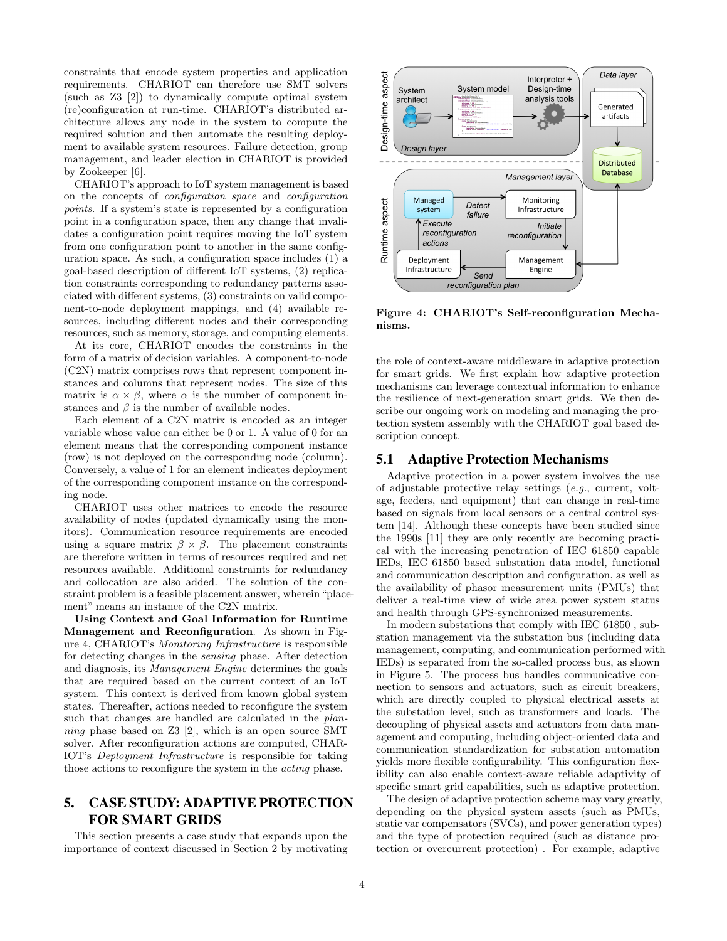constraints that encode system properties and application requirements. CHARIOT can therefore use SMT solvers (such as Z3 [2]) to dynamically compute optimal system (re)configuration at run-time. CHARIOT's distributed architecture allows any node in the system to compute the required solution and then automate the resulting deployment to available system resources. Failure detection, group management, and leader election in CHARIOT is provided by Zookeeper [6].

CHARIOT's approach to IoT system management is based on the concepts of configuration space and configuration points. If a system's state is represented by a configuration point in a configuration space, then any change that invalidates a configuration point requires moving the IoT system from one configuration point to another in the same configuration space. As such, a configuration space includes (1) a goal-based description of different IoT systems, (2) replication constraints corresponding to redundancy patterns associated with different systems, (3) constraints on valid component-to-node deployment mappings, and (4) available resources, including different nodes and their corresponding resources, such as memory, storage, and computing elements.

At its core, CHARIOT encodes the constraints in the form of a matrix of decision variables. A component-to-node (C2N) matrix comprises rows that represent component instances and columns that represent nodes. The size of this matrix is  $\alpha \times \beta$ , where  $\alpha$  is the number of component instances and  $\beta$  is the number of available nodes.

Each element of a C2N matrix is encoded as an integer variable whose value can either be 0 or 1. A value of 0 for an element means that the corresponding component instance (row) is not deployed on the corresponding node (column). Conversely, a value of 1 for an element indicates deployment of the corresponding component instance on the corresponding node.

CHARIOT uses other matrices to encode the resource availability of nodes (updated dynamically using the monitors). Communication resource requirements are encoded using a square matrix  $\beta \times \beta$ . The placement constraints are therefore written in terms of resources required and net resources available. Additional constraints for redundancy and collocation are also added. The solution of the constraint problem is a feasible placement answer, wherein"placement" means an instance of the C2N matrix.

Using Context and Goal Information for Runtime Management and Reconfiguration. As shown in Figure 4, CHARIOT's Monitoring Infrastructure is responsible for detecting changes in the sensing phase. After detection and diagnosis, its Management Engine determines the goals that are required based on the current context of an IoT system. This context is derived from known global system states. Thereafter, actions needed to reconfigure the system such that changes are handled are calculated in the *plan*ning phase based on Z3 [2], which is an open source SMT solver. After reconfiguration actions are computed, CHAR-IOT's Deployment Infrastructure is responsible for taking those actions to reconfigure the system in the acting phase.

# 5. CASE STUDY: ADAPTIVE PROTECTION FOR SMART GRIDS

This section presents a case study that expands upon the importance of context discussed in Section 2 by motivating



Figure 4: CHARIOT's Self-reconfiguration Mechanisms.

the role of context-aware middleware in adaptive protection for smart grids. We first explain how adaptive protection mechanisms can leverage contextual information to enhance the resilience of next-generation smart grids. We then describe our ongoing work on modeling and managing the protection system assembly with the CHARIOT goal based description concept.

## 5.1 Adaptive Protection Mechanisms

Adaptive protection in a power system involves the use of adjustable protective relay settings (e.g., current, voltage, feeders, and equipment) that can change in real-time based on signals from local sensors or a central control system [14]. Although these concepts have been studied since the 1990s [11] they are only recently are becoming practical with the increasing penetration of IEC 61850 capable IEDs, IEC 61850 based substation data model, functional and communication description and configuration, as well as the availability of phasor measurement units (PMUs) that deliver a real-time view of wide area power system status and health through GPS-synchronized measurements.

In modern substations that comply with IEC 61850 , substation management via the substation bus (including data management, computing, and communication performed with IEDs) is separated from the so-called process bus, as shown in Figure 5. The process bus handles communicative connection to sensors and actuators, such as circuit breakers, which are directly coupled to physical electrical assets at the substation level, such as transformers and loads. The decoupling of physical assets and actuators from data management and computing, including object-oriented data and communication standardization for substation automation yields more flexible configurability. This configuration flexibility can also enable context-aware reliable adaptivity of specific smart grid capabilities, such as adaptive protection.

The design of adaptive protection scheme may vary greatly, depending on the physical system assets (such as PMUs, static var compensators (SVCs), and power generation types) and the type of protection required (such as distance protection or overcurrent protection) . For example, adaptive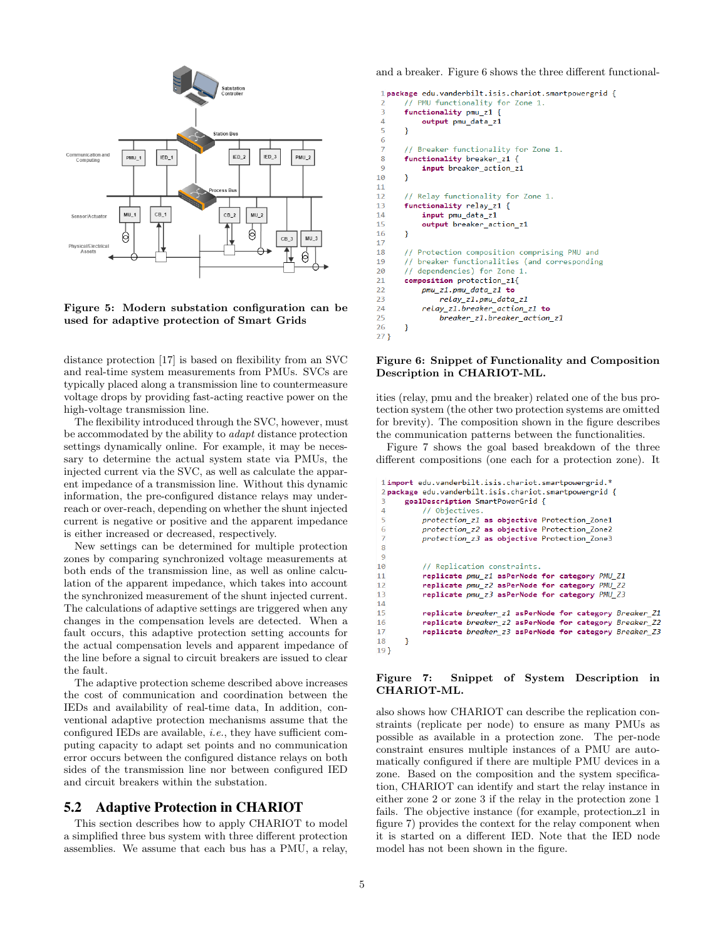

Figure 5: Modern substation configuration can be used for adaptive protection of Smart Grids

distance protection [17] is based on flexibility from an SVC and real-time system measurements from PMUs. SVCs are typically placed along a transmission line to countermeasure voltage drops by providing fast-acting reactive power on the high-voltage transmission line.

The flexibility introduced through the SVC, however, must be accommodated by the ability to adapt distance protection settings dynamically online. For example, it may be necessary to determine the actual system state via PMUs, the injected current via the SVC, as well as calculate the apparent impedance of a transmission line. Without this dynamic information, the pre-configured distance relays may underreach or over-reach, depending on whether the shunt injected current is negative or positive and the apparent impedance is either increased or decreased, respectively.

New settings can be determined for multiple protection zones by comparing synchronized voltage measurements at both ends of the transmission line, as well as online calculation of the apparent impedance, which takes into account the synchronized measurement of the shunt injected current. The calculations of adaptive settings are triggered when any changes in the compensation levels are detected. When a fault occurs, this adaptive protection setting accounts for the actual compensation levels and apparent impedance of the line before a signal to circuit breakers are issued to clear the fault.

The adaptive protection scheme described above increases the cost of communication and coordination between the IEDs and availability of real-time data, In addition, conventional adaptive protection mechanisms assume that the configured IEDs are available, i.e., they have sufficient computing capacity to adapt set points and no communication error occurs between the configured distance relays on both sides of the transmission line nor between configured IED and circuit breakers within the substation.

## 5.2 Adaptive Protection in CHARIOT

This section describes how to apply CHARIOT to model a simplified three bus system with three different protection assemblies. We assume that each bus has a PMU, a relay, and a breaker. Figure 6 shows the three different functional-

```
1 package edu.vanderbilt.isis.chariot.smartpowergrid {
        / PMU functionality for Zone 1.
       functionality pmu_z1 {
 \Deltaoutput pmu_data_z1
 \overline{\mathbf{r}}þ
 6
 \overline{7}// Breaker functionality for Zone 1.
 8
       functionality breaker z1 {
 \overline{Q}input breaker action z1
10
       ٦
11
       // Relay functionality for Zone 1.
1213functionality relay z1 {
14input pmu_data_z1
15
           output breaker_action_z1
16
       Ą
1718
       \primeProtection composition comprising PMU and
19
          breaker functionalities (and corresponding
       \prime\prime20
       // dependencies) for Zone 1.
21composition protection z1{
           pmu_z1.pmu_data_z1_to
2223relay z1.pmu data z1
24relay z1.breaker action z1 to
25breaker z1.breaker action z1
26
       þ
27<sup>1</sup>
```
#### Figure 6: Snippet of Functionality and Composition Description in CHARIOT-ML.

ities (relay, pmu and the breaker) related one of the bus protection system (the other two protection systems are omitted for brevity). The composition shown in the figure describes the communication patterns between the functionalities.

Figure 7 shows the goal based breakdown of the three different compositions (one each for a protection zone). It

```
1 import edu.vanderbilt.isis.chariot.smartnowergrid.*
 2 package edu.vanderbilt.isis.chariot.smartpowergrid {
       goalDescription SmartPowerGrid {
 \overline{A}// Objectives.
 \overline{\phantom{a}}protection z1 as objective Protection Zone1
 6
           protection_z2 as objective Protection_Zone2
           protection_z3 as objective Protection_Zone3
 \overline{8}9
           // Replication constraints.
10
11replicate pmu_z1 asPerNode for category PMU_Z1
           replicate pmu_z2 asPerNode for category PMU_Z2
1213replicate pmu_z3 asPerNode for category PMU_Z3
14
15
           replicate breaker z1 asPerNode for category Breaker Z1
           replicate breaker z2 asPerNode for category Breaker Z2
16
17
           replicate breaker z3 asPerNode for category Breaker Z3
18
       <sup>}</sup>
```
#### Figure 7: Snippet of System Description in CHARIOT-ML.

also shows how CHARIOT can describe the replication constraints (replicate per node) to ensure as many PMUs as possible as available in a protection zone. The per-node constraint ensures multiple instances of a PMU are automatically configured if there are multiple PMU devices in a zone. Based on the composition and the system specification, CHARIOT can identify and start the relay instance in either zone 2 or zone 3 if the relay in the protection zone 1 fails. The objective instance (for example, protection\_z1 in figure 7) provides the context for the relay component when it is started on a different IED. Note that the IED node model has not been shown in the figure.

 $19$